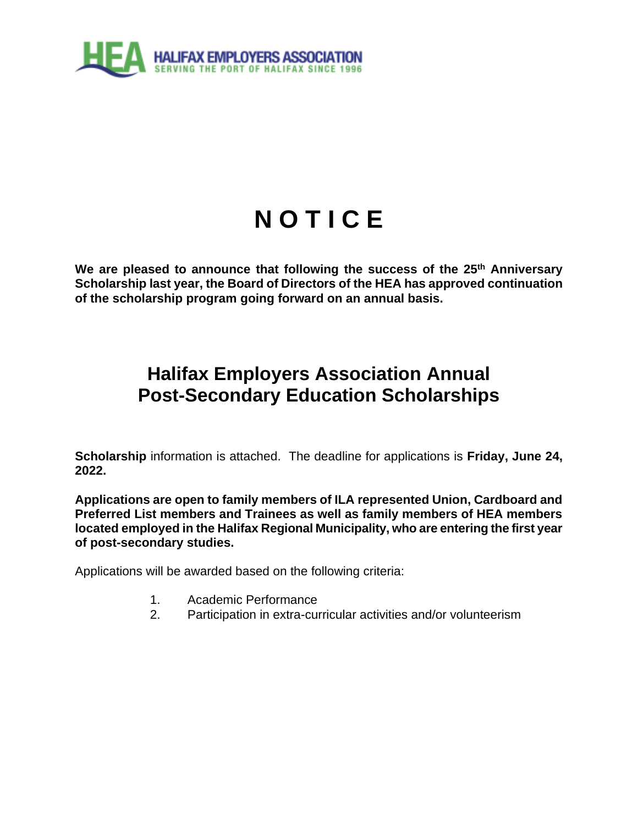

# **N O T I C E**

**We are pleased to announce that following the success of the 25th Anniversary Scholarship last year, the Board of Directors of the HEA has approved continuation of the scholarship program going forward on an annual basis.** 

## **Halifax Employers Association Annual Post-Secondary Education Scholarships**

**Scholarship** information is attached. The deadline for applications is **Friday, June 24, 2022.**

**Applications are open to family members of ILA represented Union, Cardboard and Preferred List members and Trainees as well as family members of HEA members located employed in the Halifax Regional Municipality, who are entering the first year of post-secondary studies.** 

Applications will be awarded based on the following criteria:

- 1. Academic Performance
- 2. Participation in extra-curricular activities and/or volunteerism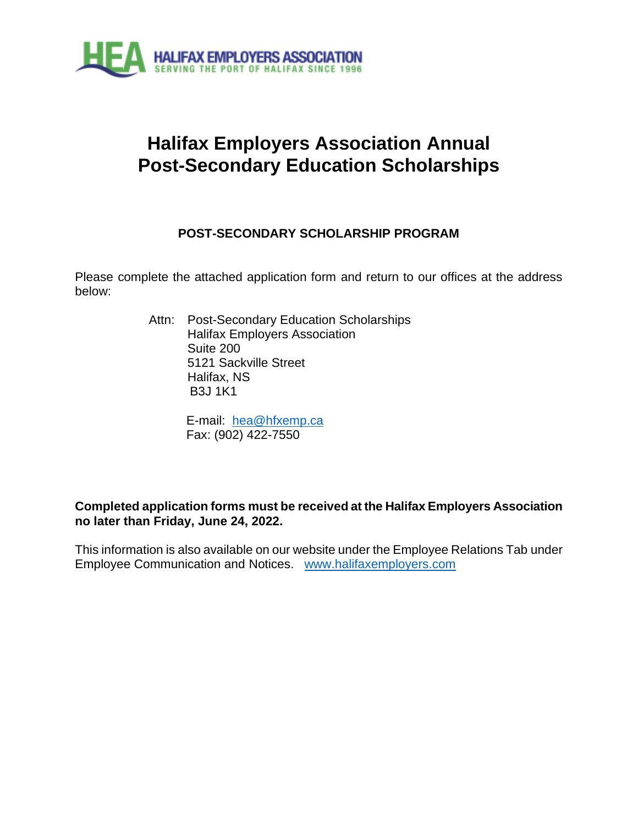

## **Halifax Employers Association Annual Post-Secondary Education Scholarships**

### **POST-SECONDARY SCHOLARSHIP PROGRAM**

Please complete the attached application form and return to our offices at the address below:

> Attn: Post-Secondary Education Scholarships Halifax Employers Association Suite 200 5121 Sackville Street Halifax, NS B3J 1K1

> > E-mail: [hea@hfxemp.ca](mailto:hea@hfxemp.ca) Fax: (902) 422-7550

#### **Completed application forms must be received at the Halifax Employers Association no later than Friday, June 24, 2022.**

This information is also available on our website under the Employee Relations Tab under Employee Communication and Notices. [www.halifaxemployers.com](http://www.halifaxemployers.com/)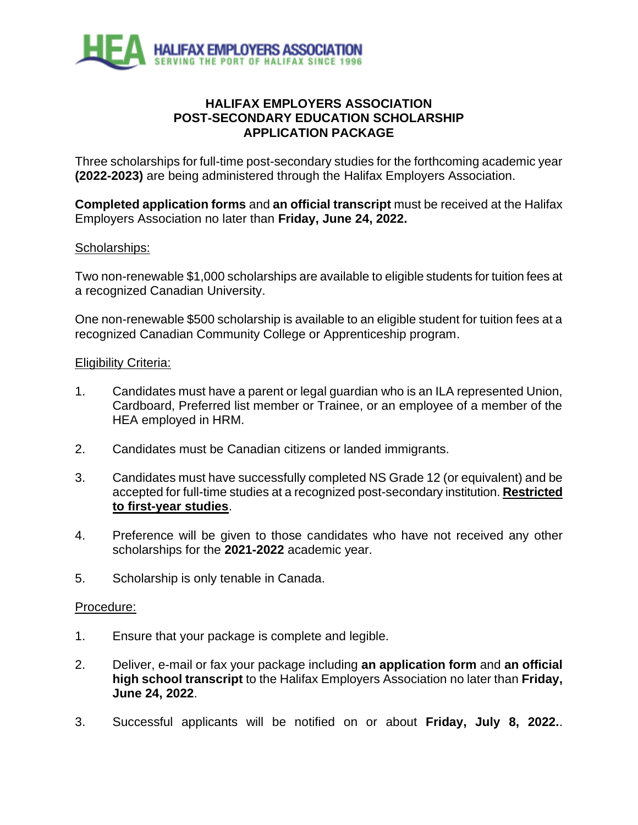

#### **HALIFAX EMPLOYERS ASSOCIATION POST-SECONDARY EDUCATION SCHOLARSHIP APPLICATION PACKAGE**

Three scholarships for full-time post-secondary studies for the forthcoming academic year **(2022-2023)** are being administered through the Halifax Employers Association.

**Completed application forms** and **an official transcript** must be received at the Halifax Employers Association no later than **Friday, June 24, 2022.**

#### Scholarships:

Two non-renewable \$1,000 scholarships are available to eligible students for tuition fees at a recognized Canadian University.

One non-renewable \$500 scholarship is available to an eligible student for tuition fees at a recognized Canadian Community College or Apprenticeship program.

#### Eligibility Criteria:

- 1. Candidates must have a parent or legal guardian who is an ILA represented Union, Cardboard, Preferred list member or Trainee, or an employee of a member of the HEA employed in HRM.
- 2. Candidates must be Canadian citizens or landed immigrants.
- 3. Candidates must have successfully completed NS Grade 12 (or equivalent) and be accepted for full-time studies at a recognized post-secondary institution. **Restricted to first-year studies**.
- 4. Preference will be given to those candidates who have not received any other scholarships for the **2021-2022** academic year.
- 5. Scholarship is only tenable in Canada.

#### Procedure:

- 1. Ensure that your package is complete and legible.
- 2. Deliver, e-mail or fax your package including **an application form** and **an official high school transcript** to the Halifax Employers Association no later than **Friday, June 24, 2022**.
- 3. Successful applicants will be notified on or about **Friday, July 8, 2022.**.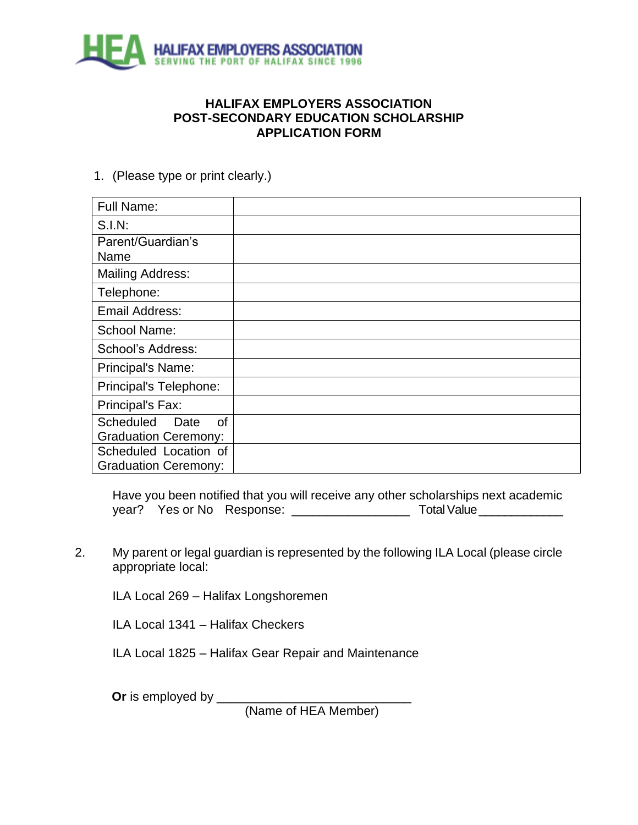

#### **HALIFAX EMPLOYERS ASSOCIATION POST-SECONDARY EDUCATION SCHOLARSHIP APPLICATION FORM**

1. (Please type or print clearly.)

| <b>Full Name:</b>                     |  |
|---------------------------------------|--|
| <b>S.I.N:</b>                         |  |
| Parent/Guardian's                     |  |
| Name                                  |  |
| <b>Mailing Address:</b>               |  |
| Telephone:                            |  |
| Email Address:                        |  |
| <b>School Name:</b>                   |  |
| School's Address:                     |  |
| Principal's Name:                     |  |
| Principal's Telephone:                |  |
| Principal's Fax:                      |  |
| <b>Scheduled</b><br><b>of</b><br>Date |  |
| <b>Graduation Ceremony:</b>           |  |
| Scheduled Location of                 |  |
| <b>Graduation Ceremony:</b>           |  |

Have you been notified that you will receive any other scholarships next academic year? Yes or No Response: \_\_\_\_\_\_\_\_\_\_\_\_\_\_\_\_\_ Total Value \_\_\_\_\_\_\_\_\_\_\_\_\_

2. My parent or legal guardian is represented by the following ILA Local (please circle appropriate local:

ILA Local 269 – Halifax Longshoremen

ILA Local 1341 – Halifax Checkers

ILA Local 1825 – Halifax Gear Repair and Maintenance

**Or** is employed by \_\_\_\_\_\_\_\_\_\_\_\_\_\_\_\_\_\_\_\_\_\_\_\_\_\_\_\_

(Name of HEA Member)